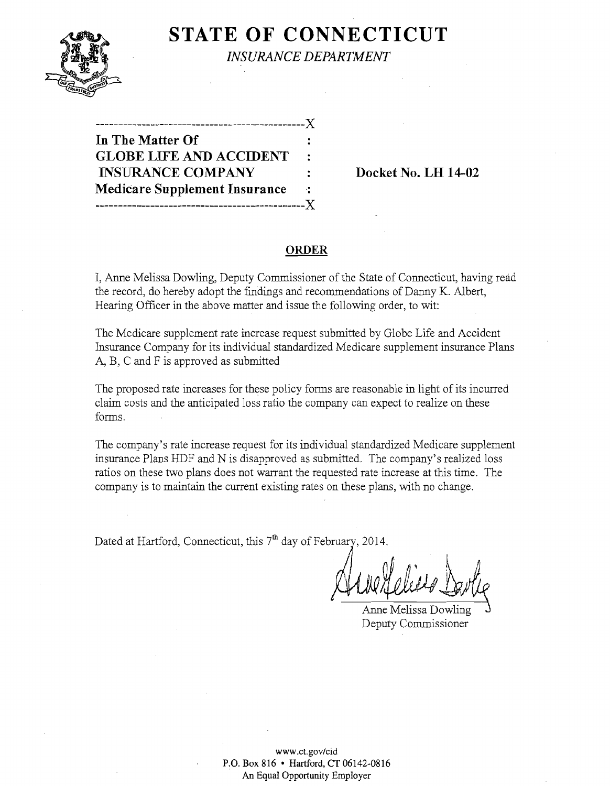

**STATE OF CONNECTICUT** *INSURANCE DEPARTMENT* 

| .-------------X                      |                |
|--------------------------------------|----------------|
| In The Matter Of                     |                |
| <b>GLOBE LIFE AND ACCIDENT</b>       | $\ddot{\cdot}$ |
| <b>INSURANCE COMPANY</b>             |                |
| <b>Medicare Supplement Insurance</b> | 41             |
| -------------------------            | $-X$           |

**Docket No. LH 14-02** 

#### **ORDER**

I, Anne Melissa Dowling, Deputy Commissioner of the State of Connecticut, having read the record, do hereby adopt the findings and recommendations of Danny K. Albert, Hearing Officer in the above matter and issue the following order, to wit:

The Medicare supplement rate increase request submitted by Globe Life and Accident Insurance Company for its individual standardized Medicare supplement insurance Plans A, B, C and F is approved as submitted

The proposed rate increases for these policy forms are reasonable in light of its incurred claim costs and the anticipated loss ratio the company can expect to realize on these forms.

The company's rate increase request for its individual standardized Medicare supplement insurance Plans HDF and N is disapproved as submitted. The company's realized loss ratios on these two plans does not warrant the requested rate increase at this time. The company is to maintain the current existing rates on these plans, with no change.

Dated at Hartford, Connecticut, this 7<sup>th</sup> day of February, 2014.

Helies David  $\frac{AW/LUL + \theta + MW}{\text{Anne Melissa Dowling}}$ 

Deputy Commissioner

**www.ct.gov/cid**  P.O. Box 816 • Hartford, CT 06142-0816 **An Equal Opportunity Employer**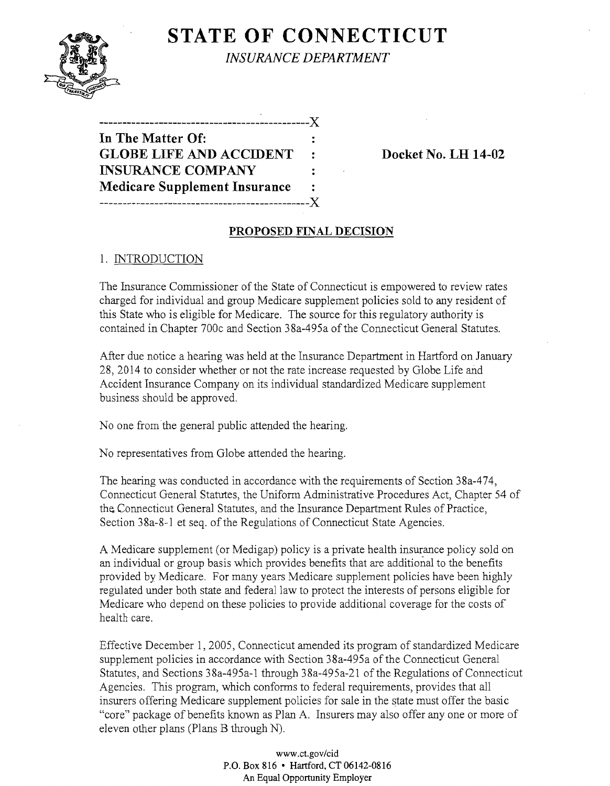# **STATE OF CONNECTICUT**

*INSURANCE DEPARTMENT* 

**----------------------------------------------)( In The Matter Of: GLOBE LIFE AND ACCIDENT** : Docket No. LH 14-02 **INSURANCE COMPANY Medicare Supplement Insurance ----------------------------------------------)(** 

# **PROPOSED FINAL DECISION**

# 1. INTRODUCTION

The Insurance Commissioner of the State of Connecticut is empowered to review rates charged for individual and group Medicare supplement policies sold to any resident of this State who is eligible for Medicare.' The source for this regulatory authority is contained in Chapter 700c and Section 38a-495a of the Connecticut General Statutes.

After due notice a hearing was held at the Insurance Department in Hartford on January 28,2014 to consider whether or not the rate increase requested by Globe Life and Accident Insurance Company on its individual standardized Medicare supplement business should be approved.

No one from the general public attended the hearing.

No representatives from Globe attended the hearing.

The hearing was conducted in accordance with the requirements of Section 38a-474, Connecticut General Statutes, the Uniform Administrative Procedures Act, Chapter 54 of the Connecticut General Statutes, and the Insurance Department Rules of Practice, Section 38a-8-1 et seq. of the Regulations of Connecticut State Agencies.

A Medicare supplement (or Medigap) policy is a private health insurance policy sold on an individual or group basis which provides benefits that are additional to the benefits provided by Medicare. For many years Medicare supplement policies have been highly regulated under both state and federal law to protect the interests of persons eligible for Medicare who depend on these policies to provide additional coverage for the costs of health care.

Effective December 1, 2005, Connecticut amended its program of standardized Medicare supplement policies in accordance with Section 38a-495a of the Connecticut General Statutes, and Sections 38a-495a-l through 38a-495a-21 of the Regulations of Connecticut Agencies. This program, which conforms to federal requirements, provides that all insurers offering Medicare supplement policies for sale in the state must offer the basic "core" package of benefits known as Plan A. Insurers may also offer anyone or more of eleven other plans (Plans B through N).

> www.ct.gov/cid P.O. Box 816 • Hartford, CT 06142-0816 An Equal Opportunity Employer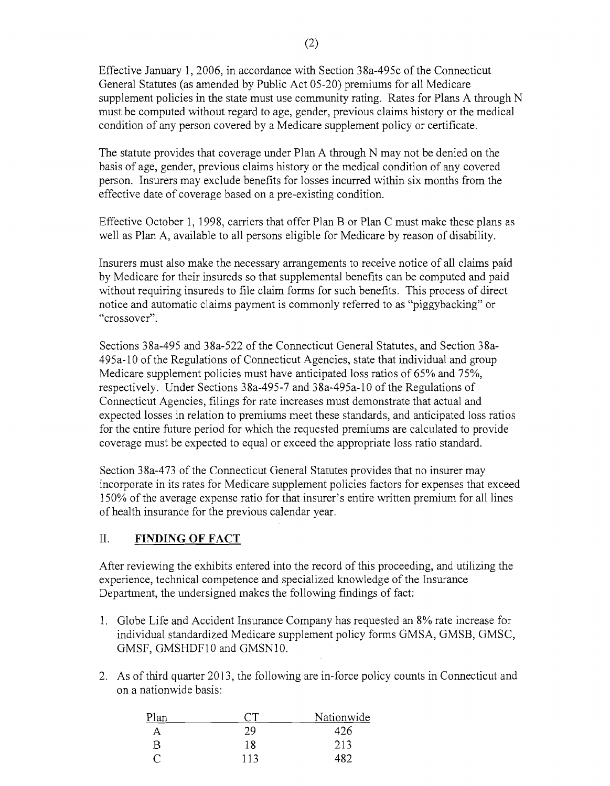Effective January 1,2006, in accordance with Section 38a-495c of the Connecticut General Statutes (as amended by Public Act 05-20) premiums for all Medicare supplement policies in the state must use community rating. Rates for Plans A through N must be computed without regard to age, gender, previous claims history or the medical condition of any person covered by a Medicare supplement policy or certificate.

The statute provides that coverage under Plan A through N may not be denied on the basis of age, gender, previous claims history or the medical condition of any covered person. Insurers may exclude benefits for losses incurred within six months from the effective date of coverage based on a pre-existing condition.

Effective October 1, 1998, carriers that offer Plan B or Plan C must make these plans as well as Plan A, available to all persons eligible for Medicare by reason of disability.

Insurers must also make the necessary arrangements to receive notice of all claims paid by Medicare for their insureds so that supplemental benefits can be computed and paid without requiring insureds to file claim forms for such benefits. This process of direct notice and automatic claims payment is commonly referred to as "piggybacking" or "crossover".

Sections 38a-495 and 38a-522 of the Connecticut General Statutes, and Section 38a-495a-l0 of the Regulations of Connecticut Agencies, state that individual and group Medicare supplement policies must have anticipated loss ratios of 65% and 75%, respectively. Under Sections 38a-495-7 and 38a-495a-l0 of the Regulations of Connecticut Agencies, filings for rate increases must demonstrate that actual and expected losses in relation to premiums meet these standards, and anticipated loss ratios for the entire future period for which the requested premiums are calculated to provide coverage must be expected to equal or exceed the appropriate loss ratio standard.

Section 38a-473 of the Connecticut General Statutes provides that no insurer may incorporate in its rates for Medicare supplement policies factors for expenses that exceed 150% of the average expense ratio for that insurer's entire written premium for all lines of health insurance for the previous calendar year.

### II. **FINDING OF FACT**

After reviewing the exhibits entered into the record of this proceeding, and utilizing the experience, technical competence and specialized knowledge of the Insurance Department, the undersigned makes the following findings of fact:

- 1. Globe Life and Accident Insurance Company has requested an 8% rate increase for individual standardized Medicare supplement policy forms GMSA, GMSB, GMSC, GMSF, GMSHDFI0 and GMSNI0.
- 2. As of third quarter 2013, the following are in-force policy counts in Connecticut and on a nationwide basis:

| Plan |     | Nationwide |
|------|-----|------------|
| A    | 29  | 26         |
| B    | 18  | 213        |
|      | 113 |            |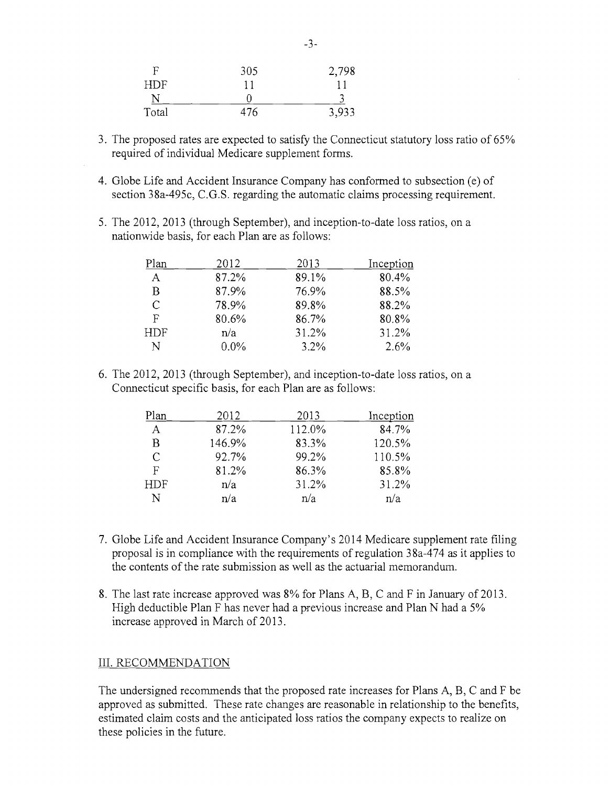| F          | 305 | 2,798 |
|------------|-----|-------|
| <b>HDF</b> |     |       |
| N          |     |       |
| Total      | 476 | 3,933 |

- 3. The proposed rates are expected to satisfy the Connecticut statutory loss ratio of 65% required of individual Medicare supplement forms.
- 4. Globe Life and Accident Insurance Company has conformed to subsection (e) of section 38a-495c, C.G.S. regarding the automatic claims processing requirement.
- 5. The 2012, 2013 (through September), and inception-to-date loss ratios, on a nationwide basis, for each Plan are as follows:

| Plan          | 2012    | 2013    | Inception |
|---------------|---------|---------|-----------|
| A             | 87.2%   | 89.1%   | 80.4%     |
| B             | 87.9%   | 76.9%   | 88.5%     |
| $\mathcal{C}$ | 78.9%   | 89.8%   | 88.2%     |
| F             | 80.6%   | 86.7%   | 80.8%     |
| HDF           | n/a     | 31.2%   | 31.2%     |
| N             | $0.0\%$ | $3.2\%$ | 2.6%      |

6. The 2012, 2013 (through September), and inception-to-date loss ratios, on a Connecticut specific basis, for each Plan are as follows:

| Plan       | 2012   | 2013   | Inception |
|------------|--------|--------|-----------|
| А          | 87.2%  | 112.0% | 84.7%     |
| В          | 146.9% | 83.3%  | 120.5%    |
| $\subset$  | 92.7%  | 99.2%  | 110.5%    |
| F          | 81.2%  | 86.3%  | 85.8%     |
| <b>HDF</b> | n/a    | 31.2%  | 31.2%     |
| N          | n/a    | n/a    | n/a       |

- 7. Globe Life and Accident Insurance Company's 2014 Medicare supplement rate filing proposal is in compliance with the requirements ofregulation 38a-474 as it applies to the contents of the rate submission as well as the actuarial memorandum.
- 8. The last rate increase approved was 8% for Plans A, B, C and F in January of 2013. High deductible Plan F has never had a previous increase and Plan N had a 5% increase approved in March of 2013.

#### III. RECOMMENDATION

The undersigned recommends that the proposed rate increases for Plans A, B, C and F be approved as submitted. These rate changes are reasonable in relationship to the benefits, estimated claim costs and the anticipated loss ratios the company expects to realize on these policies in the future.